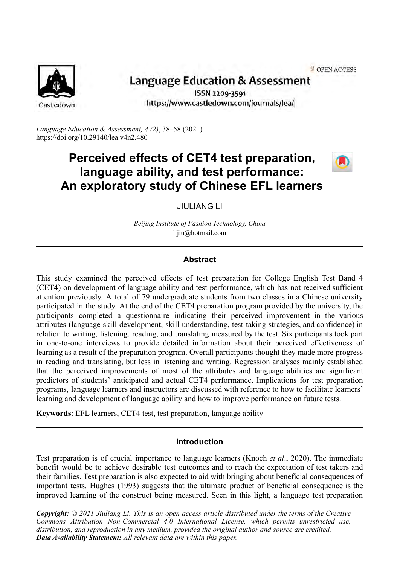**a** OPEN ACCESS



# Language Education & Assessment

ISSN 2209-3591 https://www.castledown.com/journals/lea/

*Language Education & Assessment, 4 (2)*, 38–58 (2021) <https://doi.org/10.29140/lea.v4n2.480>

## **Perceived effects of CET4 test preparation, language ability, and test performance: An exploratory study of Chinese EFL learners**



JIULIANG LI

*Beijing Institute of Fashion Technology, China* lijiu@hotmail.com

## **Abstract**

This study examined the perceived effects of test preparation for College English Test Band 4 (CET4) on development of language ability and test performance, which has not received sufficient attention previously. A total of 79 undergraduate students from two classes in a Chinese university participated in the study. At the end of the CET4 preparation program provided by the university, the participants completed a questionnaire indicating their perceived improvement in the various attributes (language skill development, skill understanding, test-taking strategies, and confidence) in relation to writing, listening, reading, and translating measured by the test. Six participants took part in one-to-one interviews to provide detailed information about their perceived effectiveness of learning as a result of the preparation program. Overall participants thought they made more progress in reading and translating, but less in listening and writing. Regression analyses mainly established that the perceived improvements of most of the attributes and language abilities are significant predictors of students' anticipated and actual CET4 performance. Implications for test preparation programs, language learners and instructors are discussed with reference to how to facilitate learners' learning and development of language ability and how to improve performance on future tests.

**Keywords**: EFL learners, CET4 test, test preparation, language ability

## **Introduction**

Test preparation is of crucial importance to language learners (Knoch *et al*., 2020). The immediate benefit would be to achieve desirable test outcomes and to reach the expectation of test takers and their families. Test preparation is also expected to aid with bringing about beneficial consequences of important tests. Hughes (1993) suggests that the ultimate product of beneficial consequence is the improved learning of the construct being measured. Seen in this light, a language test preparation

*Copyright: © 2021 Jiuliang Li. This is an open access article distributed under the terms of the [Creative](http://creativecommons.org/licenses/by-nc-nd/4.0) [Commons Attribution Non-Commercial 4.0 International License,](http://creativecommons.org/licenses/by-nc-nd/4.0) which permits unrestricted use, distribution, and reproduction in any medium, provided the original author and source are credited. Data Availability Statement: All relevant data are within this paper.*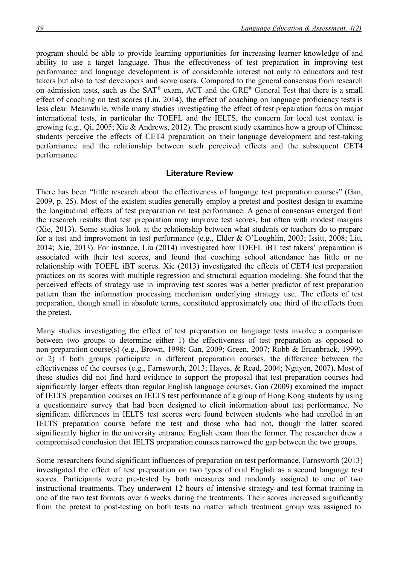program should be able to provide learning opportunities for increasing learner knowledge of and ability to use a target language. Thus the effectiveness of test preparation in improving test performance and language development is of considerable interest not only to educators and test takers but also to test developers and score users. Compared to the general consensus from research on admission tests, such as the SAT® exam, ACT and the GRE® General Test that there is a small effect of coaching on test scores (Liu, 2014), the effect of coaching on language proficiency tests is less clear. Meanwhile, while many studies investigating the effect of test preparation focus on major international tests, in particular the TOEFL and the IELTS, the concern for local test context is growing (e.g., Qi, 2005; Xie & Andrews, 2012). The present study examines how a group of Chinese students perceive the effects of CET4 preparation on their language development and test-taking performance and the relationship between such perceived effects and the subsequent CET4 performance.

#### **Literature Review**

There has been "little research about the effectiveness of language test preparation courses" (Gan, 2009, p. 25). Most of the existent studies generally employ a pretest and posttest design to examine the longitudinal effects of test preparation on test performance. A general consensus emerged from the research results that test preparation may improve test scores, but often with modest margins (Xie, 2013). Some studies look at the relationship between what students or teachers do to prepare for a test and improvement in test performance (e.g., Elder & O'Loughlin, 2003; Issitt, 2008; Liu, 2014; Xie, 2013). For instance, Liu (2014) investigated how TOEFL iBT test takers' preparation is associated with their test scores, and found that coaching school attendance has little or no relationship with TOEFL iBT scores. Xie (2013) investigated the effects of CET4 test preparation practices on its scores with multiple regression and structural equation modeling. She found that the perceived effects of strategy use in improving test scores was a better predictor of test preparation pattern than the information processing mechanism underlying strategy use. The effects of test preparation, though small in absolute terms, constituted approximately one third of the effects from the pretest.

Many studies investigating the effect of test preparation on language tests involve a comparison between two groups to determine either 1) the effectiveness of test preparation as opposed to non-preparation course(s) (e.g., Brown, 1998; Gan, 2009; Green, 2007; Robb & Ercanbrack, 1999), or 2) if both groups participate in different preparation courses, the difference between the effectiveness of the courses (e.g., Farnsworth, 2013; Hayes, & Read, 2004; Nguyen, 2007). Most of these studies did not find hard evidence to support the proposal that test preparation courses had significantly larger effects than regular English language courses. Gan (2009) examined the impact of IELTS preparation courses on IELTS test performance of a group of Hong Kong students by using a questionnaire survey that had been designed to elicit information about test performance. No significant differences in IELTS test scores were found between students who had enrolled in an IELTS preparation course before the test and those who had not, though the latter scored significantly higher in the university entrance English exam than the former. The researcher drew a compromised conclusion that IELTS preparation courses narrowed the gap between the two groups.

Some researchers found significant influences of preparation on test performance. Farnsworth (2013) investigated the effect of test preparation on two types of oral English as a second language test scores. Participants were pre-tested by both measures and randomly assigned to one of two instructional treatments. They underwent 12 hours of intensive strategy and test format training in one of the two test formats over 6 weeks during the treatments. Their scores increased significantly from the pretest to post-testing on both tests no matter which treatment group was assigned to.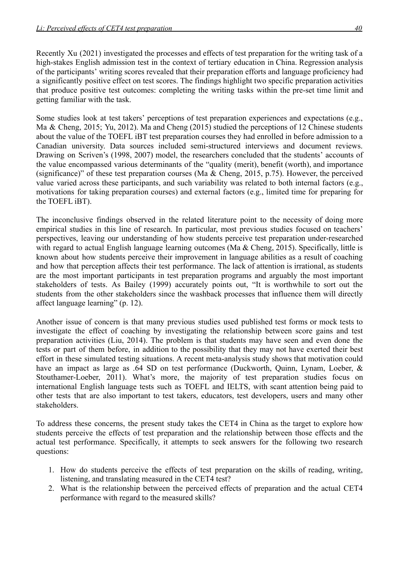Recently Xu (2021) investigated the processes and effects of test preparation for the writing task of a high-stakes English admission test in the context of tertiary education in China. Regression analysis of the participants' writing scores revealed that their preparation efforts and language proficiency had a significantly positive effect on test scores. The findings highlight two specific preparation activities that produce positive test outcomes: completing the writing tasks within the pre-set time limit and getting familiar with the task.

Some studies look at test takers' perceptions of test preparation experiences and expectations (e.g., Ma & Cheng, 2015; Yu, 2012). Ma and Cheng (2015) studied the perceptions of 12 Chinese students about the value of the TOEFL iBT test preparation courses they had enrolled in before admission to a Canadian university. Data sources included semi-structured interviews and document reviews. Drawing on Scriven's (1998, 2007) model, the researchers concluded that the students' accounts of the value encompassed various determinants of the "quality (merit), benefit (worth), and importance (significance)" of these test preparation courses (Ma & Cheng, 2015, p.75). However, the perceived value varied across these participants, and such variability was related to both internal factors (e.g., motivations for taking preparation courses) and external factors (e.g., limited time for preparing for the TOEFL iBT).

The inconclusive findings observed in the related literature point to the necessity of doing more empirical studies in this line of research. In particular, most previous studies focused on teachers' perspectives, leaving our understanding of how students perceive test preparation under-researched with regard to actual English language learning outcomes (Ma & Cheng, 2015). Specifically, little is known about how students perceive their improvement in language abilities as a result of coaching and how that perception affects their test performance. The lack of attention is irrational, as students are the most important participants in test preparation programs and arguably the most important stakeholders of tests. As Bailey (1999) accurately points out, "It is worthwhile to sort out the students from the other stakeholders since the washback processes that influence them will directly affect language learning" (p. 12).

Another issue of concern is that many previous studies used published test forms or mock tests to investigate the effect of coaching by investigating the relationship between score gains and test preparation activities (Liu, 2014). The problem is that students may have seen and even done the tests or part of them before, in addition to the possibility that they may not have exerted their best effort in these simulated testing situations. A recent meta-analysis study shows that motivation could have an impact as large as .64 SD on test performance (Duckworth, Quinn, Lynam, Loeber, & Stouthamer-Loeber, 2011). What's more, the majority of test preparation studies focus on international English language tests such as TOEFL and IELTS, with scant attention being paid to other tests that are also important to test takers, educators, test developers, users and many other stakeholders.

To address these concerns, the present study takes the CET4 in China as the target to explore how students perceive the effects of test preparation and the relationship between those effects and the actual test performance. Specifically, it attempts to seek answers for the following two research questions:

- 1. How do students perceive the effects of test preparation on the skills of reading, writing, listening, and translating measured in the CET4 test?
- 2. What is the relationship between the perceived effects of preparation and the actual CET4 performance with regard to the measured skills?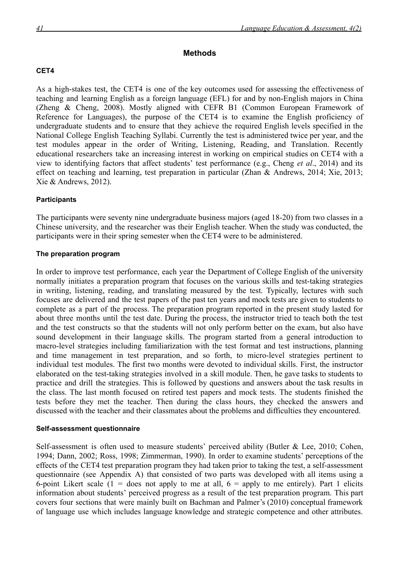## **Methods**

## **CET4**

As a high-stakes test, the CET4 is one of the key outcomes used for assessing the effectiveness of teaching and learning English as a foreign language (EFL) for and by non-English majors in China (Zheng & Cheng, 2008). Mostly aligned with CEFR B1 (Common European Framework of Reference for Languages), the purpose of the CET4 is to examine the English proficiency of undergraduate students and to ensure that they achieve the required English levels specified in the National College English Teaching Syllabi. Currently the test is administered twice per year, and the test modules appear in the order of Writing, Listening, Reading, and Translation. Recently educational researchers take an increasing interest in working on empirical studies on CET4 with a view to identifying factors that affect students' test performance (e.g., Cheng *et al*., 2014) and its effect on teaching and learning, test preparation in particular (Zhan & Andrews, 2014; Xie, 2013; Xie & Andrews, 2012).

## **Participants**

The participants were seventy nine undergraduate business majors (aged 18-20) from two classes in a Chinese university, and the researcher was their English teacher. When the study was conducted, the participants were in their spring semester when the CET4 were to be administered.

#### **The preparation program**

In order to improve test performance, each year the Department of College English of the university normally initiates a preparation program that focuses on the various skills and test-taking strategies in writing, listening, reading, and translating measured by the test. Typically, lectures with such focuses are delivered and the test papers of the past ten years and mock tests are given to students to complete as a part of the process. The preparation program reported in the present study lasted for about three months until the test date. During the process, the instructor tried to teach both the test and the test constructs so that the students will not only perform better on the exam, but also have sound development in their language skills. The program started from a general introduction to macro-level strategies including familiarization with the test format and test instructions, planning and time management in test preparation, and so forth, to micro-level strategies pertinent to individual test modules. The first two months were devoted to individual skills. First, the instructor elaborated on the test-taking strategies involved in a skill module. Then, he gave tasks to students to practice and drill the strategies. This is followed by questions and answers about the task results in the class. The last month focused on retired test papers and mock tests. The students finished the tests before they met the teacher. Then during the class hours, they checked the answers and discussed with the teacher and their classmates about the problems and difficulties they encountered.

#### **Self-assessment questionnaire**

Self-assessment is often used to measure students' perceived ability (Butler & Lee, 2010; Cohen, 1994; Dann, 2002; Ross, 1998; Zimmerman, 1990). In order to examine students' perceptions of the effects of the CET4 test preparation program they had taken prior to taking the test, a self-assessment questionnaire (see Appendix A) that consisted of two parts was developed with all items using a 6-point Likert scale  $(1 - \text{does not apply to me at all, } 6 - \text{apply to me entirely})$ . Part 1 elicits information about students' perceived progress as a result of the test preparation program. This part covers four sections that were mainly built on Bachman and Palmer's (2010) conceptual framework of language use which includes language knowledge and strategic competence and other attributes.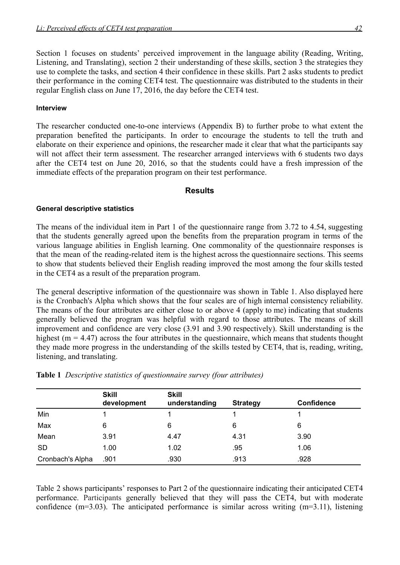Section 1 focuses on students' perceived improvement in the language ability (Reading, Writing, Listening, and Translating), section 2 their understanding of these skills, section 3 the strategies they use to complete the tasks, and section 4 their confidence in these skills. Part 2 asks students to predict their performance in the coming CET4 test. The questionnaire was distributed to the students in their regular English class on June 17, 2016, the day before the CET4 test.

#### **Interview**

The researcher conducted one-to-one interviews (Appendix B) to further probe to what extent the preparation benefited the participants. In order to encourage the students to tell the truth and elaborate on their experience and opinions, the researcher made it clear that what the participants say will not affect their term assessment. The researcher arranged interviews with 6 students two days after the CET4 test on June 20, 2016, so that the students could have a fresh impression of the immediate effects of the preparation program on their test performance.

#### **Results**

#### **General descriptive statistics**

The means of the individual item in Part 1 of the questionnaire range from 3.72 to 4.54, suggesting that the students generally agreed upon the benefits from the preparation program in terms of the various language abilities in English learning. One commonality of the questionnaire responses is that the mean of the reading-related item is the highest across the questionnaire sections. This seems to show that students believed their English reading improved the most among the four skills tested in the CET4 as a result of the preparation program.

The general descriptive information of the questionnaire was shown in Table 1. Also displayed here is the Cronbach's Alpha which shows that the four scales are of high internal consistency reliability. The means of the four attributes are either close to or above 4 (apply to me) indicating that students generally believed the program was helpful with regard to those attributes. The means of skill improvement and confidence are very close (3.91 and 3.90 respectively). Skill understanding is the highest ( $m = 4.47$ ) across the four attributes in the questionnaire, which means that students thought they made more progress in the understanding of the skills tested by CET4, that is, reading, writing, listening, and translating.

|                  | <b>Skill</b><br>development | <b>Skill</b><br>understanding | <b>Strategy</b> | <b>Confidence</b> |
|------------------|-----------------------------|-------------------------------|-----------------|-------------------|
| Min              |                             |                               |                 |                   |
| Max              | 6                           | 6                             | 6               | 6                 |
| Mean             | 3.91                        | 4.47                          | 4.31            | 3.90              |
| <b>SD</b>        | 1.00                        | 1.02                          | .95             | 1.06              |
| Cronbach's Alpha | .901                        | .930                          | .913            | .928              |

#### **Table 1** *Descriptive statistics of questionnaire survey (four attributes)*

Table 2 shows participants' responses to Part 2 of the questionnaire indicating their anticipated CET4 performance. Participants generally believed that they will pass the CET4, but with moderate confidence (m=3.03). The anticipated performance is similar across writing (m=3.11), listening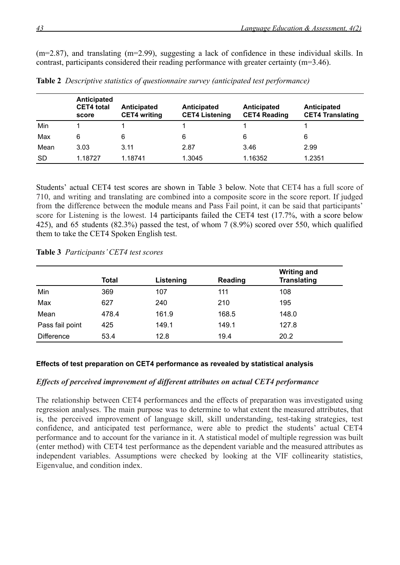(m=2.87), and translating (m=2.99), suggesting a lack of confidence in these individual skills. In contrast, participants considered their reading performance with greater certainty (m=3.46).

|           | Anticipated<br><b>CET4</b> total<br>score | Anticipated<br><b>CET4 writing</b> | Anticipated<br><b>CET4 Listening</b> | Anticipated<br><b>CET4 Reading</b> | <b>Anticipated</b><br><b>CET4 Translating</b> |
|-----------|-------------------------------------------|------------------------------------|--------------------------------------|------------------------------------|-----------------------------------------------|
| Min       |                                           |                                    |                                      |                                    |                                               |
| Max       | 6                                         | 6                                  | 6                                    | 6                                  | 6                                             |
| Mean      | 3.03                                      | 3.11                               | 2.87                                 | 3.46                               | 2.99                                          |
| <b>SD</b> | 1.18727                                   | 1.18741                            | 1.3045                               | 1.16352                            | 1.2351                                        |

**Table 2** *Descriptive statistics of questionnaire survey (anticipated test performance)*

Students' actual CET4 test scores are shown in Table 3 below. Note that CET4 has a full score of 710, and writing and translating are combined into a composite score in the score report. If judged from the difference between the module means and Pass Fail point, it can be said that participants' score for Listening is the lowest. 14 participants failed the CET4 test (17.7%, with a score below 425), and 65 students (82.3%) passed the test, of whom 7 (8.9%) scored over 550, which qualified them to take the CET4 Spoken English test.

|                   | Total | Listening | Reading | <b>Writing and</b><br><b>Translating</b> |
|-------------------|-------|-----------|---------|------------------------------------------|
| Min               | 369   | 107       | 111     | 108                                      |
| Max               | 627   | 240       | 210     | 195                                      |
| Mean              | 478.4 | 161.9     | 168.5   | 148.0                                    |
| Pass fail point   | 425   | 149.1     | 149.1   | 127.8                                    |
| <b>Difference</b> | 53.4  | 12.8      | 19.4    | 20.2                                     |

**Table 3** *Participants' CET4 test scores*

#### **Effects of test preparation on CET4 performance as revealed by statistical analysis**

#### *Effects of perceived improvement of different attributes on actual CET4 performance*

The relationship between CET4 performances and the effects of preparation was investigated using regression analyses. The main purpose was to determine to what extent the measured attributes, that is, the perceived improvement of language skill, skill understanding, test-taking strategies, test confidence, and anticipated test performance, were able to predict the students' actual CET4 performance and to account for the variance in it. A statistical model of multiple regression was built (enter method) with CET4 test performance as the dependent variable and the measured attributes as independent variables. Assumptions were checked by looking at the VIF collinearity statistics, Eigenvalue, and condition index.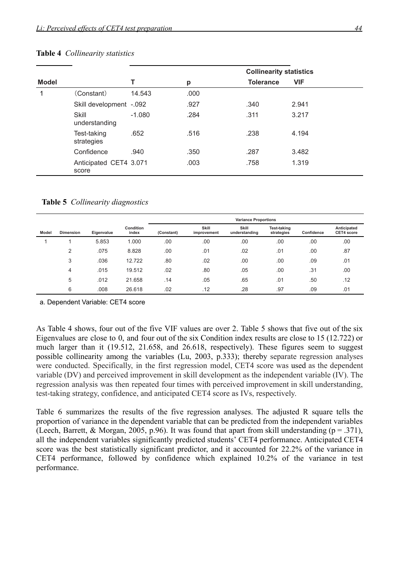|              |                                 |          |      | <b>Collinearity statistics</b> |            |
|--------------|---------------------------------|----------|------|--------------------------------|------------|
| <b>Model</b> |                                 |          | р    | <b>Tolerance</b>               | <b>VIF</b> |
|              | (Constant)                      | 14.543   | .000 |                                |            |
|              | Skill development -.092         |          | .927 | .340                           | 2.941      |
|              | Skill<br>understanding          | $-1.080$ | .284 | .311                           | 3.217      |
|              | Test-taking<br>strategies       | .652     | .516 | .238                           | 4.194      |
|              | Confidence                      | .940     | .350 | .287                           | 3.482      |
|              | Anticipated CET4 3.071<br>score |          | .003 | .758                           | 1.319      |

#### **Table 4** *Collinearity statistics*

**Table 5** *Collinearity diagnostics*

|       |                  |            |                           | <b>Variance Proportions</b> |                      |                        |                           |            |                           |
|-------|------------------|------------|---------------------------|-----------------------------|----------------------|------------------------|---------------------------|------------|---------------------------|
| Model | <b>Dimension</b> | Eigenvalue | <b>Condition</b><br>index | (Constant)                  | Skill<br>improvement | Skill<br>understanding | Test-taking<br>strategies | Confidence | Anticipated<br>CET4 score |
|       |                  | 5.853      | 1.000                     | .00                         | .00                  | .00                    | .00                       | .00        | .00                       |
|       | 2                | .075       | 8.828                     | .00                         | .01                  | .02                    | .01                       | .00        | .87                       |
|       | 3                | .036       | 12.722                    | .80                         | .02                  | .00                    | .00                       | .09        | .01                       |
|       | 4                | .015       | 19.512                    | .02                         | .80                  | .05                    | .00                       | .31        | .00                       |
|       | 5                | .012       | 21.658                    | .14                         | .05                  | .65                    | .01                       | .50        | .12                       |
|       | 6                | .008       | 26.618                    | .02                         | .12                  | .28                    | .97                       | .09        | .01                       |

a. Dependent Variable: CET4 score

As Table 4 shows, four out of the five VIF values are over 2. Table 5 shows that five out of the six Eigenvalues are close to 0, and four out of the six Condition index results are close to 15 (12.722) or much larger than it (19.512, 21.658, and 26.618, respectively). These figures seem to suggest possible collinearity among the variables (Lu, 2003, p.333); thereby separate regression analyses were conducted. Specifically, in the first regression model, CET4 score was used as the dependent variable (DV) and perceived improvement in skill development as the independent variable (IV). The regression analysis was then repeated four times with perceived improvement in skill understanding, test-taking strategy, confidence, and anticipated CET4 score as IVs, respectively.

Table 6 summarizes the results of the five regression analyses. The adjusted R square tells the proportion of variance in the dependent variable that can be predicted from the independent variables (Leech, Barrett, & Morgan, 2005, p.96). It was found that apart from skill understanding ( $p = .371$ ), all the independent variables significantly predicted students' CET4 performance. Anticipated CET4 score was the best statistically significant predictor, and it accounted for 22.2% of the variance in CET4 performance, followed by confidence which explained 10.2% of the variance in test performance.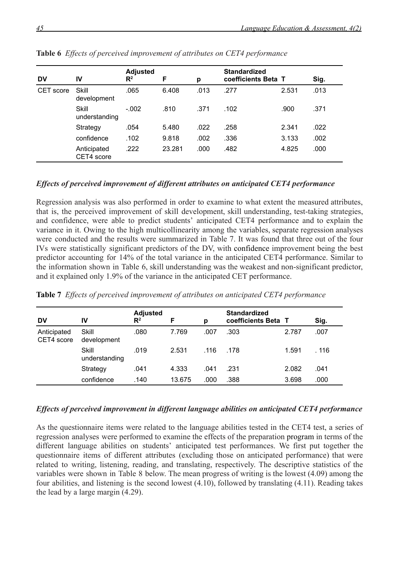| <b>DV</b> | IV                        | <b>Adjusted</b><br>$\mathsf{R}^2$ | F      | p    | <b>Standardized</b><br>coefficients Beta T |       | Sig. |
|-----------|---------------------------|-----------------------------------|--------|------|--------------------------------------------|-------|------|
| CET score | Skill<br>development      | .065                              | 6.408  | .013 | .277                                       | 2.531 | .013 |
|           | Skill<br>understanding    | $-.002$                           | .810   | .371 | .102                                       | .900  | .371 |
|           | Strategy                  | .054                              | 5.480  | .022 | .258                                       | 2.341 | .022 |
|           | confidence                | .102                              | 9.818  | .002 | .336                                       | 3.133 | .002 |
|           | Anticipated<br>CET4 score | .222                              | 23.281 | .000 | .482                                       | 4.825 | .000 |

**Table 6** *Effects of perceived improvement of attributes on CET4 performance*

## *Effects of perceived improvement of different attributes on anticipated CET4 performance*

Regression analysis was also performed in order to examine to what extent the measured attributes, that is, the perceived improvement of skill development, skill understanding, test-taking strategies, and confidence, were able to predict students' anticipated CET4 performance and to explain the variance in it. Owing to the high multicollinearity among the variables, separate regression analyses were conducted and the results were summarized in Table 7. It was found that three out of the four IVs were statistically significant predictors of the DV, with confidence improvement being the best predictor accounting for 14% of the total variance in the anticipated CET4 performance. Similar to the information shown in Table 6, skill understanding was the weakest and non-significant predictor, and it explained only 1.9% of the variance in the anticipated CET performance.

| <b>DV</b>                 | IV                     | <b>Adjusted</b><br>$\mathbb{R}^2$ | F      | р    | <b>Standardized</b><br>coefficients Beta |       | Sig.  |
|---------------------------|------------------------|-----------------------------------|--------|------|------------------------------------------|-------|-------|
| Anticipated<br>CET4 score | Skill<br>development   | .080                              | 7.769  | .007 | .303                                     | 2.787 | .007  |
|                           | Skill<br>understanding | .019                              | 2.531  | .116 | .178                                     | 1.591 | . 116 |
|                           | Strategy               | .041                              | 4.333  | .041 | .231                                     | 2.082 | .041  |
|                           | confidence             | .140                              | 13.675 | .000 | .388                                     | 3.698 | .000  |

**Table 7** *Effects of perceived improvement of attributes on anticipated CET4 performance*

#### *Effects of perceived improvement in different language abilities on anticipated CET4 performance*

As the questionnaire items were related to the language abilities tested in the CET4 test, a series of regression analyses were performed to examine the effects of the preparation program in terms of the different language abilities on students' anticipated test performances. We first put together the questionnaire items of different attributes (excluding those on anticipated performance) that were related to writing, listening, reading, and translating, respectively. The descriptive statistics of the variables were shown in Table 8 below. The mean progress of writing is the lowest (4.09) among the four abilities, and listening is the second lowest (4.10), followed by translating (4.11). Reading takes the lead by a large margin (4.29).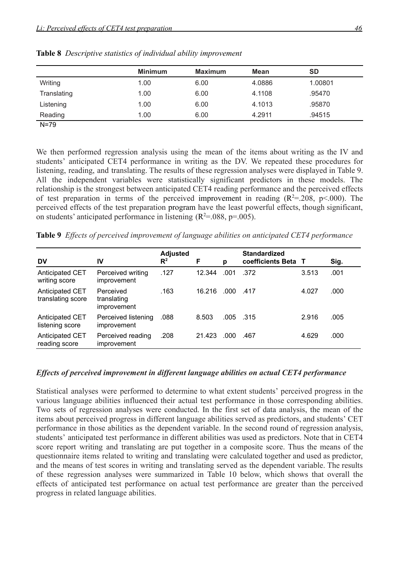|             | <b>Minimum</b> | <b>Maximum</b> | <b>Mean</b> | <b>SD</b> |
|-------------|----------------|----------------|-------------|-----------|
| Writing     | 1.00           | 6.00           | 4.0886      | 1.00801   |
| Translating | 1.00           | 6.00           | 4.1108      | .95470    |
| Listening   | 1.00           | 6.00           | 4.1013      | .95870    |
| Reading     | 1.00           | 6.00           | 4.2911      | .94515    |
| $N = 79$    |                |                |             |           |

**Table 8** *Descriptive statistics of individual ability improvement*

We then performed regression analysis using the mean of the items about writing as the IV and students' anticipated CET4 performance in writing as the DV. We repeated these procedures for listening, reading, and translating. The results of these regression analyses were displayed in Table 9. All the independent variables were statistically significant predictors in these models. The relationship is the strongest between anticipated CET4 reading performance and the perceived effects of test preparation in terms of the perceived improvement in reading  $(R^2=208, p<000)$ . The

on students' anticipated performance in listening  $(R^2 = 0.088, p = 0.005)$ .

**Table 9** *Effects of perceived improvement of language abilities on anticipated CET4 performance*

perceived effects of the test preparation program have the least powerful effects, though significant,

| <b>DV</b>                            | IV                                      | <b>Adjusted</b><br>$R^2$ | F      | p    | <b>Standardized</b><br>coefficients Beta | T     | Sig. |
|--------------------------------------|-----------------------------------------|--------------------------|--------|------|------------------------------------------|-------|------|
| Anticipated CET<br>writing score     | Perceived writing<br>improvement        | .127                     | 12.344 | .001 | .372                                     | 3.513 | .001 |
| Anticipated CET<br>translating score | Perceived<br>translating<br>improvement | .163                     | 16.216 | .000 | .417                                     | 4.027 | .000 |
| Anticipated CET<br>listening score   | Perceived listening<br>improvement      | .088                     | 8.503  | .005 | .315                                     | 2.916 | .005 |
| Anticipated CET<br>reading score     | Perceived reading<br>improvement        | .208                     | 21.423 | .000 | .467                                     | 4.629 | .000 |

#### *Effects of perceived improvement in different language abilities on actual CET4 performance*

Statistical analyses were performed to determine to what extent students' perceived progress in the various language abilities influenced their actual test performance in those corresponding abilities. Two sets of regression analyses were conducted. In the first set of data analysis, the mean of the items about perceived progress in different language abilities served as predictors, and students' CET performance in those abilities as the dependent variable. In the second round of regression analysis, students' anticipated test performance in different abilities was used as predictors. Note that in CET4 score report writing and translating are put together in a composite score. Thus the means of the questionnaire items related to writing and translating were calculated together and used as predictor, and the means of test scores in writing and translating served as the dependent variable. The results of these regression analyses were summarized in Table 10 below, which shows that overall the effects of anticipated test performance on actual test performance are greater than the perceived progress in related language abilities.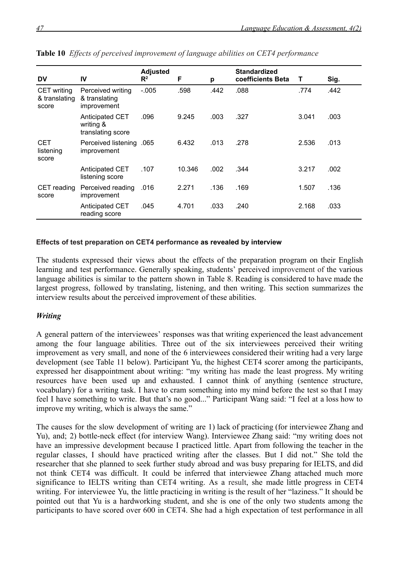|                                              |                                                   | <b>Adjusted</b> |        |      | <b>Standardized</b> |       |      |
|----------------------------------------------|---------------------------------------------------|-----------------|--------|------|---------------------|-------|------|
| <b>DV</b>                                    | IV                                                | $\mathsf{R}^2$  | F      | p    | coefficients Beta   | Т     | Sig. |
| <b>CET</b> writing<br>& translating<br>score | Perceived writing<br>& translating<br>improvement | $-.005$         | .598   | .442 | .088                | .774  | .442 |
|                                              | Anticipated CET<br>writing &<br>translating score | .096            | 9.245  | .003 | .327                | 3.041 | .003 |
| <b>CET</b><br>listening<br>score             | Perceived listening .065<br>improvement           |                 | 6.432  | .013 | .278                | 2.536 | .013 |
|                                              | Anticipated CET<br>listening score                | .107            | 10.346 | .002 | .344                | 3.217 | .002 |
| CET reading<br>score                         | Perceived reading<br>improvement                  | .016            | 2.271  | .136 | .169                | 1.507 | .136 |
|                                              | Anticipated CET<br>reading score                  | .045            | 4.701  | .033 | .240                | 2.168 | .033 |

|  |  |  |  |  |  | Table 10 Effects of perceived improvement of language abilities on CET4 performance |
|--|--|--|--|--|--|-------------------------------------------------------------------------------------|
|--|--|--|--|--|--|-------------------------------------------------------------------------------------|

#### **Effects of test preparation on CET4 performance as revealed by interview**

The students expressed their views about the effects of the preparation program on their English learning and test performance. Generally speaking, students' perceived improvement of the various language abilities is similar to the pattern shown in Table 8. Reading is considered to have made the largest progress, followed by translating, listening, and then writing. This section summarizes the interview results about the perceived improvement of these abilities.

## *Writing*

A general pattern of the interviewees' responses was that writing experienced the least advancement among the four language abilities. Three out of the six interviewees perceived their writing improvement as very small, and none of the 6 interviewees considered their writing had a very large development (see Table 11 below). Participant Yu, the highest CET4 scorer among the participants, expressed her disappointment about writing: "my writing has made the least progress. My writing resources have been used up and exhausted. I cannot think of anything (sentence structure, vocabulary) for a writing task. I have to cram something into my mind before the test so that I may feel I have something to write. But that's no good..." Participant Wang said: "I feel at a loss how to improve my writing, which is always the same."

The causes for the slow development of writing are 1) lack of practicing (for interviewee Zhang and Yu), and; 2) bottle-neck effect (for interview Wang). Interviewee Zhang said: "my writing does not have an impressive development because I practiced little. Apart from following the teacher in the regular classes, I should have practiced writing after the classes. But I did not." She told the researcher that she planned to seek further study abroad and was busy preparing for IELTS, and did not think CET4 was difficult. It could be inferred that interviewee Zhang attached much more significance to IELTS writing than CET4 writing. As a result, she made little progress in CET4 writing. For interviewee Yu, the little practicing in writing is the result of her "laziness." It should be pointed out that Yu is a hardworking student, and she is one of the only two students among the participants to have scored over 600 in CET4. She had a high expectation of test performance in all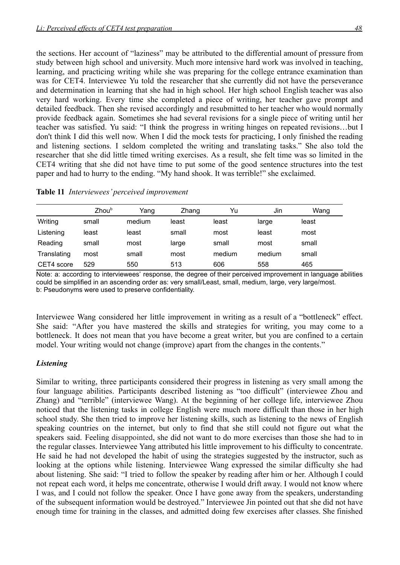the sections. Her account of "laziness" may be attributed to the differential amount of pressure from study between high school and university. Much more intensive hard work was involved in teaching, learning, and practicing writing while she was preparing for the college entrance examination than was for CET4. Interviewee Yu told the researcher that she currently did not have the perseverance and determination in learning that she had in high school. Her high school English teacher was also very hard working. Every time she completed a piece of writing, her teacher gave prompt and detailed feedback. Then she revised accordingly and resubmitted to her teacher who would normally provide feedback again. Sometimes she had several revisions for a single piece of writing until her teacher was satisfied. Yu said: "I think the progress in writing hinges on repeated revisions…but I don't think I did this well now. When I did the mock tests for practicing, I only finished the reading and listening sections. I seldom completed the writing and translating tasks." She also told the researcher that she did little timed writing exercises. As a result, she felt time was so limited in the CET4 writing that she did not have time to put some of the good sentence structures into the test paper and had to hurry to the ending. "My hand shook. It was terrible!" she exclaimed.

| Table 11 Interviewees' perceived improvement |  |  |
|----------------------------------------------|--|--|
|----------------------------------------------|--|--|

|             | Zhou <sup>b</sup> | Yang   | Zhang | Yu     | Jin    | Wang  |
|-------------|-------------------|--------|-------|--------|--------|-------|
| Writing     | small             | medium | least | least  | large  | least |
| Listening   | least             | least  | small | most   | least  | most  |
| Reading     | small             | most   | large | small  | most   | small |
| Translating | most              | small  | most  | medium | medium | small |
| CET4 score  | 529               | 550    | 513   | 606    | 558    | 465   |

Note: a: according to interviewees' response, the degree of their perceived improvement in language abilities could be simplified in an ascending order as: very small/Least, small, medium, large, very large/most. b: Pseudonyms were used to preserve confidentiality.

Interviewee Wang considered her little improvement in writing as a result of a "bottleneck" effect. She said: "After you have mastered the skills and strategies for writing, you may come to a bottleneck. It does not mean that you have become a great writer, but you are confined to a certain model. Your writing would not change (improve) apart from the changes in the contents."

## *Listening*

Similar to writing, three participants considered their progress in listening as very small among the four language abilities. Participants described listening as "too difficult" (interviewee Zhou and Zhang) and "terrible" (interviewee Wang). At the beginning of her college life, interviewee Zhou noticed that the listening tasks in college English were much more difficult than those in her high school study. She then tried to improve her listening skills, such as listening to the news of English speaking countries on the internet, but only to find that she still could not figure out what the speakers said. Feeling disappointed, she did not want to do more exercises than those she had to in the regular classes. Interviewee Yang attributed his little improvement to his difficulty to concentrate. He said he had not developed the habit of using the strategies suggested by the instructor, such as looking at the options while listening. Interviewee Wang expressed the similar difficulty she had about listening. She said: "I tried to follow the speaker by reading after him or her. Although I could not repeat each word, it helps me concentrate, otherwise I would drift away. I would not know where I was, and I could not follow the speaker. Once I have gone away from the speakers, understanding of the subsequent information would be destroyed." Interviewee Jin pointed out that she did not have enough time for training in the classes, and admitted doing few exercises after classes. She finished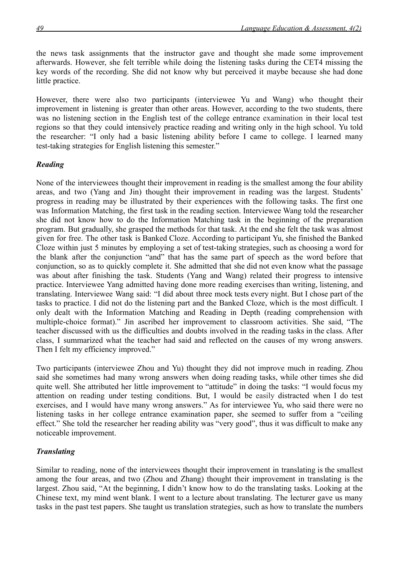the news task assignments that the instructor gave and thought she made some improvement afterwards. However, she felt terrible while doing the listening tasks during the CET4 missing the key words of the recording. She did not know why but perceived it maybe because she had done little practice.

However, there were also two participants (interviewee Yu and Wang) who thought their improvement in listening is greater than other areas. However, according to the two students, there was no listening section in the English test of the college entrance examination in their local test regions so that they could intensively practice reading and writing only in the high school. Yu told the researcher: "I only had a basic listening ability before I came to college. I learned many test-taking strategies for English listening this semester."

## *Reading*

None of the interviewees thought their improvement in reading is the smallest among the four ability areas, and two (Yang and Jin) thought their improvement in reading was the largest. Students' progress in reading may be illustrated by their experiences with the following tasks. The first one was Information Matching, the first task in the reading section. Interviewee Wang told the researcher she did not know how to do the Information Matching task in the beginning of the preparation program. But gradually, she grasped the methods for that task. At the end she felt the task was almost given for free. The other task is Banked Cloze. According to participant Yu, she finished the Banked Cloze within just 5 minutes by employing a set of test-taking strategies, such as choosing a word for the blank after the conjunction "and" that has the same part of speech as the word before that conjunction, so as to quickly complete it. She admitted that she did not even know what the passage was about after finishing the task. Students (Yang and Wang) related their progress to intensive practice. Interviewee Yang admitted having done more reading exercises than writing, listening, and translating. Interviewee Wang said: "I did about three mock tests every night. But I chose part of the tasks to practice. I did not do the listening part and the Banked Cloze, which is the most difficult. I only dealt with the Information Matching and Reading in Depth (reading comprehension with multiple-choice format)." Jin ascribed her improvement to classroom activities. She said, "The teacher discussed with us the difficulties and doubts involved in the reading tasks in the class. After class, I summarized what the teacher had said and reflected on the causes of my wrong answers. Then I felt my efficiency improved."

Two participants (interviewee Zhou and Yu) thought they did not improve much in reading. Zhou said she sometimes had many wrong answers when doing reading tasks, while other times she did quite well. She attributed her little improvement to "attitude" in doing the tasks: "I would focus my attention on reading under testing conditions. But, I would be easily distracted when I do test exercises, and I would have many wrong answers." As for interviewee Yu, who said there were no listening tasks in her college entrance examination paper, she seemed to suffer from a "ceiling effect." She told the researcher her reading ability was "very good", thus it was difficult to make any noticeable improvement.

## *Translating*

Similar to reading, none of the interviewees thought their improvement in translating is the smallest among the four areas, and two (Zhou and Zhang) thought their improvement in translating is the largest. Zhou said, "At the beginning, I didn't know how to do the translating tasks. Looking at the Chinese text, my mind went blank. I went to a lecture about translating. The lecturer gave us many tasks in the past test papers. She taught us translation strategies, such as how to translate the numbers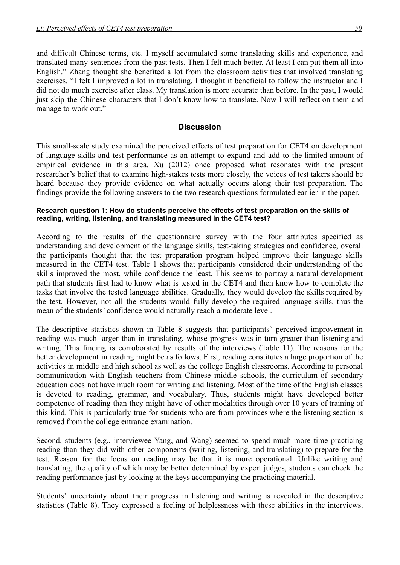and difficult Chinese terms, etc. I myself accumulated some translating skills and experience, and translated many sentences from the past tests. Then I felt much better. At least I can put them all into English." Zhang thought she benefited a lot from the classroom activities that involved translating exercises. "I felt I improved a lot in translating. I thought it beneficial to follow the instructor and I did not do much exercise after class. My translation is more accurate than before. In the past, I would just skip the Chinese characters that I don't know how to translate. Now I will reflect on them and manage to work out."

## **Discussion**

This small-scale study examined the perceived effects of test preparation for CET4 on development of language skills and test performance as an attempt to expand and add to the limited amount of empirical evidence in this area. Xu (2012) once proposed what resonates with the present researcher's belief that to examine high-stakes tests more closely, the voices of test takers should be heard because they provide evidence on what actually occurs along their test preparation. The findings provide the following answers to the two research questions formulated earlier in the paper.

#### **Research question 1: How do students perceive the effects of test preparation on the skills of reading, writing, listening, and translating measured in the CET4 test?**

According to the results of the questionnaire survey with the four attributes specified as understanding and development of the language skills, test-taking strategies and confidence, overall the participants thought that the test preparation program helped improve their language skills measured in the CET4 test. Table 1 shows that participants considered their understanding of the skills improved the most, while confidence the least. This seems to portray a natural development path that students first had to know what is tested in the CET4 and then know how to complete the tasks that involve the tested language abilities. Gradually, they would develop the skills required by the test. However, not all the students would fully develop the required language skills, thus the mean of the students' confidence would naturally reach a moderate level.

The descriptive statistics shown in Table 8 suggests that participants' perceived improvement in reading was much larger than in translating, whose progress was in turn greater than listening and writing. This finding is corroborated by results of the interviews (Table 11). The reasons for the better development in reading might be as follows. First, reading constitutes a large proportion of the activities in middle and high school as well as the college English classrooms. According to personal communication with English teachers from Chinese middle schools, the curriculum of secondary education does not have much room for writing and listening. Most of the time of the English classes is devoted to reading, grammar, and vocabulary. Thus, students might have developed better competence of reading than they might have of other modalities through over 10 years of training of this kind. This is particularly true for students who are from provinces where the listening section is removed from the college entrance examination.

Second, students (e.g., interviewee Yang, and Wang) seemed to spend much more time practicing reading than they did with other components (writing, listening, and translating) to prepare for the test. Reason for the focus on reading may be that it is more operational. Unlike writing and translating, the quality of which may be better determined by expert judges, students can check the reading performance just by looking at the keys accompanying the practicing material.

Students' uncertainty about their progress in listening and writing is revealed in the descriptive statistics (Table 8). They expressed a feeling of helplessness with these abilities in the interviews.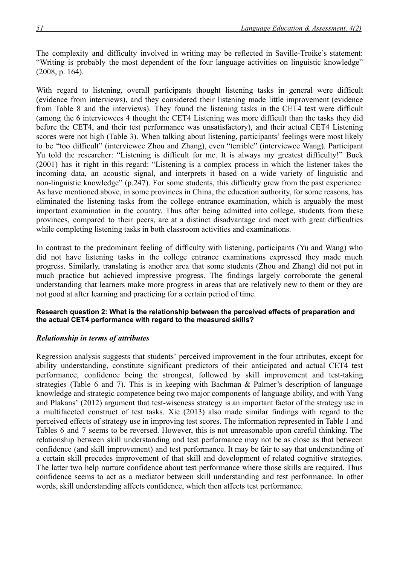The complexity and difficulty involved in writing may be reflected in Saville-Troike's statement: "Writing is probably the most dependent of the four language activities on linguistic knowledge" (2008, p. 164).

With regard to listening, overall participants thought listening tasks in general were difficult (evidence from interviews), and they considered their listening made little improvement (evidence from Table 8 and the interviews). They found the listening tasks in the CET4 test were difficult (among the 6 interviewees 4 thought the CET4 Listening was more difficult than the tasks they did before the CET4, and their test performance was unsatisfactory), and their actual CET4 Listening scores were not high (Table 3). When talking about listening, participants' feelings were most likely to be "too difficult" (interviewee Zhou and Zhang), even "terrible" (interviewee Wang). Participant Yu told the researcher: "Listening is difficult for me. It is always my greatest difficulty!" Buck (2001) has it right in this regard: "Listening is a complex process in which the listener takes the incoming data, an acoustic signal, and interprets it based on a wide variety of linguistic and non-linguistic knowledge" (p.247). For some students, this difficulty grew from the past experience. As have mentioned above, in some provinces in China, the education authority, for some reasons, has eliminated the listening tasks from the college entrance examination, which is arguably the most important examination in the country. Thus after being admitted into college, students from these provinces, compared to their peers, are at a distinct disadvantage and meet with great difficulties while completing listening tasks in both classroom activities and examinations.

In contrast to the predominant feeling of difficulty with listening, participants (Yu and Wang) who did not have listening tasks in the college entrance examinations expressed they made much progress. Similarly, translating is another area that some students (Zhou and Zhang) did not put in much practice but achieved impressive progress. The findings largely corroborate the general understanding that learners make more progress in areas that are relatively new to them or they are not good at after learning and practicing for a certain period of time.

#### **Research question 2: What is the relationship between the perceived effects of preparation and the actual CET4 performance with regard to the measured skills?**

## *Relationship in terms of attributes*

Regression analysis suggests that students' perceived improvement in the four attributes, except for ability understanding, constitute significant predictors of their anticipated and actual CET4 test performance, confidence being the strongest, followed by skill improvement and test-taking strategies (Table 6 and 7). This is in keeping with Bachman & Palmer's description of language knowledge and strategic competence being two major components of language ability, and with Yang and Plakans' (2012) argument that test-wiseness strategy is an important factor of the strategy use in a multifaceted construct of test tasks. Xie (2013) also made similar findings with regard to the perceived effects of strategy use in improving test scores. The information represented in Table 1 and Tables 6 and 7 seems to be reversed. However, this is not unreasonable upon careful thinking. The relationship between skill understanding and test performance may not be as close as that between confidence (and skill improvement) and test performance. It may be fair to say that understanding of a certain skill precedes improvement of that skill and development of related cognitive strategies. The latter two help nurture confidence about test performance where those skills are required. Thus confidence seems to act as a mediator between skill understanding and test performance. In other words, skill understanding affects confidence, which then affects test performance.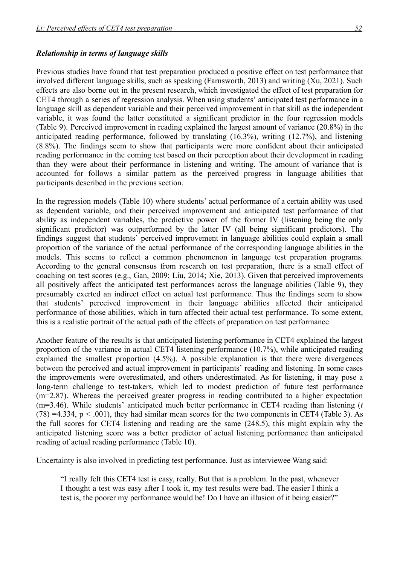## *Relationship in terms of language skills*

Previous studies have found that test preparation produced a positive effect on test performance that involved different language skills, such as speaking (Farnsworth, 2013) and writing (Xu, 2021). Such effects are also borne out in the present research, which investigated the effect of test preparation for CET4 through a series of regression analysis. When using students' anticipated test performance in a language skill as dependent variable and their perceived improvement in that skill as the independent variable, it was found the latter constituted a significant predictor in the four regression models (Table 9). Perceived improvement in reading explained the largest amount of variance (20.8%) in the anticipated reading performance, followed by translating (16.3%), writing (12.7%), and listening (8.8%). The findings seem to show that participants were more confident about their anticipated reading performance in the coming test based on their perception about their development in reading than they were about their performance in listening and writing. The amount of variance that is accounted for follows a similar pattern as the perceived progress in language abilities that participants described in the previous section.

In the regression models (Table 10) where students' actual performance of a certain ability was used as dependent variable, and their perceived improvement and anticipated test performance of that ability as independent variables, the predictive power of the former IV (listening being the only significant predictor) was outperformed by the latter IV (all being significant predictors). The findings suggest that students' perceived improvement in language abilities could explain a small proportion of the variance of the actual performance of the corresponding language abilities in the models. This seems to reflect a common phenomenon in language test preparation programs. According to the general consensus from research on test preparation, there is a small effect of coaching on test scores (e.g., Gan, 2009; Liu, 2014; Xie, 2013). Given that perceived improvements all positively affect the anticipated test performances across the language abilities (Table 9), they presumably exerted an indirect effect on actual test performance. Thus the findings seem to show that students' perceived improvement in their language abilities affected their anticipated performance of those abilities, which in turn affected their actual test performance. To some extent, this is a realistic portrait of the actual path of the effects of preparation on test performance.

Another feature of the results is that anticipated listening performance in CET4 explained the largest proportion of the variance in actual CET4 listening performance (10.7%), while anticipated reading explained the smallest proportion (4.5%). A possible explanation is that there were divergences between the perceived and actual improvement in participants' reading and listening. In some cases the improvements were overestimated, and others underestimated. As for listening, it may pose a long-term challenge to test-takers, which led to modest prediction of future test performance (m=2.87). Whereas the perceived greater progress in reading contributed to a higher expectation (m=3.46). While students' anticipated much better performance in CET4 reading than listening (*t*  $(78) = 4.334$ ,  $p < .001$ ), they had similar mean scores for the two components in CET4 (Table 3). As the full scores for CET4 listening and reading are the same (248.5), this might explain why the anticipated listening score was a better predictor of actual listening performance than anticipated reading of actual reading performance (Table 10).

Uncertainty is also involved in predicting test performance. Just as interviewee Wang said:

"I really felt this CET4 test is easy, really. But that is a problem. In the past, whenever I thought a test was easy after I took it, my test results were bad. The easier I think a test is, the poorer my performance would be! Do I have an illusion of it being easier?"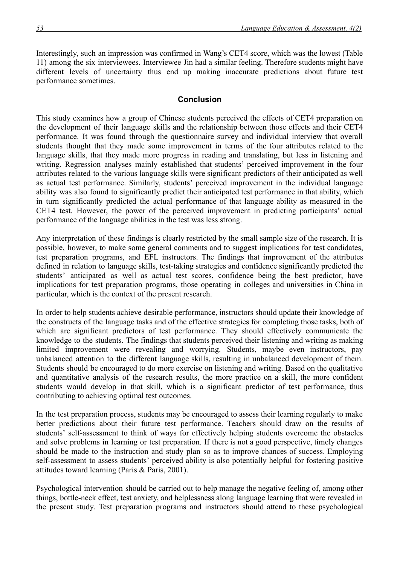Interestingly, such an impression was confirmed in Wang's CET4 score, which was the lowest (Table 11) among the six interviewees. Interviewee Jin had a similar feeling. Therefore students might have different levels of uncertainty thus end up making inaccurate predictions about future test performance sometimes.

## **Conclusion**

This study examines how a group of Chinese students perceived the effects of CET4 preparation on the development of their language skills and the relationship between those effects and their CET4 performance. It was found through the questionnaire survey and individual interview that overall students thought that they made some improvement in terms of the four attributes related to the language skills, that they made more progress in reading and translating, but less in listening and writing. Regression analyses mainly established that students' perceived improvement in the four attributes related to the various language skills were significant predictors of their anticipated as well as actual test performance. Similarly, students' perceived improvement in the individual language ability was also found to significantly predict their anticipated test performance in that ability, which in turn significantly predicted the actual performance of that language ability as measured in the CET4 test. However, the power of the perceived improvement in predicting participants' actual performance of the language abilities in the test was less strong.

Any interpretation of these findings is clearly restricted by the small sample size of the research. It is possible, however, to make some general comments and to suggest implications for test candidates, test preparation programs, and EFL instructors. The findings that improvement of the attributes defined in relation to language skills, test-taking strategies and confidence significantly predicted the students' anticipated as well as actual test scores, confidence being the best predictor, have implications for test preparation programs, those operating in colleges and universities in China in particular, which is the context of the present research.

In order to help students achieve desirable performance, instructors should update their knowledge of the constructs of the language tasks and of the effective strategies for completing those tasks, both of which are significant predictors of test performance. They should effectively communicate the knowledge to the students. The findings that students perceived their listening and writing as making limited improvement were revealing and worrying. Students, maybe even instructors, pay unbalanced attention to the different language skills, resulting in unbalanced development of them. Students should be encouraged to do more exercise on listening and writing. Based on the qualitative and quantitative analysis of the research results, the more practice on a skill, the more confident students would develop in that skill, which is a significant predictor of test performance, thus contributing to achieving optimal test outcomes.

In the test preparation process, students may be encouraged to assess their learning regularly to make better predictions about their future test performance. Teachers should draw on the results of students' self-assessment to think of ways for effectively helping students overcome the obstacles and solve problems in learning or test preparation. If there is not a good perspective, timely changes should be made to the instruction and study plan so as to improve chances of success. Employing self-assessment to assess students' perceived ability is also potentially helpful for fostering positive attitudes toward learning (Paris & Paris, 2001).

Psychological intervention should be carried out to help manage the negative feeling of, among other things, bottle-neck effect, test anxiety, and helplessness along language learning that were revealed in the present study. Test preparation programs and instructors should attend to these psychological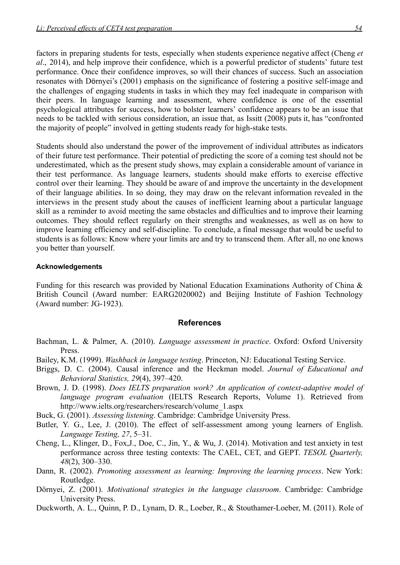factors in preparing students for tests, especially when students experience negative affect (Cheng *et al*., 2014), and help improve their confidence, which is a powerful predictor of students' future test performance. Once their confidence improves, so will their chances of success. Such an association resonates with Dörnyei's (2001) emphasis on the significance of fostering a positive self-image and the challenges of engaging students in tasks in which they may feel inadequate in comparison with their peers. In language learning and assessment, where confidence is one of the essential psychological attributes for success, how to bolster learners' confidence appears to be an issue that needs to be tackled with serious consideration, an issue that, as Issitt (2008) puts it, has "confronted the majority of people" involved in getting students ready for high-stake tests.

Students should also understand the power of the improvement of individual attributes as indicators of their future test performance. Their potential of predicting the score of a coming test should not be underestimated, which as the present study shows, may explain a considerable amount of variance in their test performance. As language learners, students should make efforts to exercise effective control over their learning. They should be aware of and improve the uncertainty in the development of their language abilities. In so doing, they may draw on the relevant information revealed in the interviews in the present study about the causes of inefficient learning about a particular language skill as a reminder to avoid meeting the same obstacles and difficulties and to improve their learning outcomes. They should reflect regularly on their strengths and weaknesses, as well as on how to improve learning efficiency and self-discipline. To conclude, a final message that would be useful to students is as follows: Know where your limits are and try to transcend them. After all, no one knows you better than yourself.

#### **Acknowledgements**

Funding for this research was provided by National Education Examinations Authority of China & British Council (Award number: EARG2020002) and Beijing Institute of Fashion Technology (Award number: JG-1923).

#### **References**

- Bachman, L. & Palmer, A. (2010). *Language assessment in practice*. Oxford: Oxford University Press.
- Bailey, K.M. (1999). *Washback in language testing*. Princeton, NJ: Educational Testing Service.
- Briggs, D. C. (2004). Causal inference and the Heckman model. *Journal of Educational and Behavioral Statistics, 29*(4), 397–420.
- Brown,J. D. (1998). *Does IELTS preparation work? An application o[f](http://www.ielts.org/researchers/research/volume_1.aspx) context-adaptive model of language program evaluation* (IELTS Research Reports, Volume 1). Retrieved from [http://www.ielts.org/researchers/research/volume\\_1.aspx](http://www.ielts.org/researchers/research/volume_1.aspx)
- Buck, G. (2001). *Assessing listening*. Cambridge: Cambridge University Press.
- Butler, Y. G., Lee, J. (2010). The effect of self-assessment among young learners of English. *Language Testing, 27*, 5–31.
- Cheng, L., Klinger, D., Fox,J., Doe, C., Jin, Y., & Wu, J. (2014). Motivation and test anxiety in test performance across three testing contexts: The CAEL, CET, and GEPT. *TESOL Quarterly, 48*(2), 300–330.
- Dann, R. (2002). *Promoting assessment as learning: Improving the learning process*. New York: Routledge.
- Dörnyei, Z. (2001). *Motivational strategies in the language classroom*. Cambridge: Cambridge University Press.
- Duckworth, A. L., Quinn, P. D., Lynam, D. R., Loeber, R., & Stouthamer-Loeber, M. (2011). Role of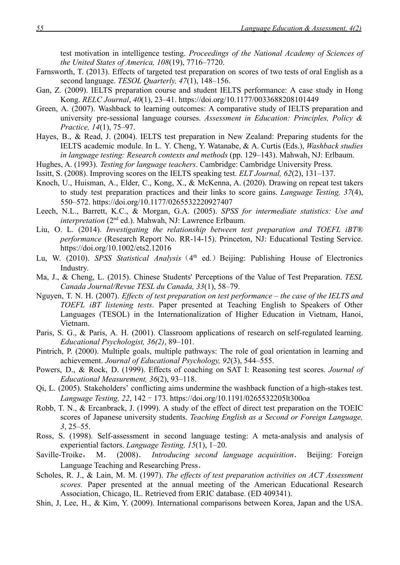test motivation in intelligence testing. *Proceedings of the National Academy of Sciences of the United States of America, 108*(19), 7716–7720.

- Farnsworth, T. (2013). Effects of targeted test preparation on scores of two tests of oral English as a second language. *TESOL Quarterly, 47*(1), 148–156.
- Gan, Z. (2009). IELTS preparation course and student IELTS performance: A case study in Hong Kong. *RELC Journal*, *40*(1), 23–41[. https://doi.org/10.1177/0033688208101449](https://doi.org/10.1177/0033688208101449)
- Green, A. (2007). Washback to learning outcomes: A comparative study of IELTS preparation and university pre-sessional language courses. *Assessment in Education: Principles, Policy & Practice, 14*(1), 75–97.
- Hayes, B., & Read, J. (2004). IELTS test preparation in New Zealand: Preparing students for the IELTS academic module. In L. Y. Cheng, Y. Watanabe, & A. Curtis (Eds.), *Washback studies in language testing: Research contexts and methods* (pp. 129–143). Mahwah, NJ: Erlbaum.
- Hughes, A. (1993). *Testing for language teachers*. Cambridge: Cambridge University Press.
- Issitt, S. (2008). Improving scores on the IELTS speaking test. *ELT Journal, 62*(2), 131–137.
- Knoch, U., Huisman, A., Elder, C., Kong, X., & McKenna, A. (2020). Drawing on repeat test takers to study test preparation practices and their links to score gains. *Language Testing, 37*(4), 550–572[. https://doi.org/10.1177/0265532220927407](https://doi.org/10.1177/0265532220927407)
- Leech, N.L., Barrett, K.C., & Morgan, G.A. (2005). *SPSS for intermediate statistics: Use and interpretation* (2<sup>nd</sup> ed.). Mahwah, NJ: Lawrence Erlbaum.
- Liu, O. L. (2014). *Investigating the relationship between test preparation and TOEFL iBT® performance* (Research Report No. RR-14-15). Princeton, NJ: Educational Testing Service. <https://doi.org/10.1002/ets2.12016>
- Lu, W. (2010). *SPSS Statistical Analysis* (4<sup>th</sup> ed.) Beijing: Publishing House of Electronics Industry.
- Ma, J., & Cheng, L. (2015). Chinese Students' Perceptions of the Value of Test Preparation. *TESL Canada Journal/Revue TESL du Canada, 33*(1), 58–79.
- Nguyen, T. N. H. (2007). *Effects of test preparation on test performance the case of the IELTS and TOEFL iBT listening tests*. Paper presented at Teaching English to Speakers of Other Languages (TESOL) in the Internationalization of Higher Education in Vietnam, Hanoi, Vietnam.
- Paris, S. G., & Paris, A. H. (2001). Classroom applications of research on self-regulated learning. *Educational Psychologist, 36(2)*, 89–101.
- Pintrich, P. (2000). Multiple goals, multiple pathways: The role of goal orientation in learning and achievement. *Journal of Educational Psychology, 92*(3), 544–555.
- Powers, D., & Rock, D. (1999). Effects of coaching on SAT I: Reasoning test scores. *Journal of Educational Measurement, 36*(2), 93–118.
- Qi, L. (2005). Stakeholders' conflicting aims undermine the washback function of a high-stakes test. *Language Testing, 22*, 142–173[. https://doi.org/10.1191/0265532205lt300oa](https://doi.org/10.1191/0265532205lt300oa)
- Robb, T. N., & Ercanbrack, J. (1999). A study of the effect of direct test preparation on the TOEIC scores of Japanese university students. *Teaching English as a Second or Foreign Language, 3*, 25–55.
- Ross, S. (1998). Self-assessment in second language testing: A meta-analysis and analysis of experiential factors. *Language Testing, 15*(1), 1–20.
- Saville-Troike, M. (2008). *Introducing second language acquisition*. Beijing: Foreign Language Teaching and Researching Press.
- Scholes, R. J., & Lain, M. M. (1997). *The effects of test preparation activities on ACT Assessment scores.* Paper presented at the annual meeting of the American Educational Research Association, Chicago, IL. Retrieved from ERIC database. (ED 409341).
- Shin, J, Lee, H., & Kim, Y. (2009). International comparisons between Korea, Japan and the USA.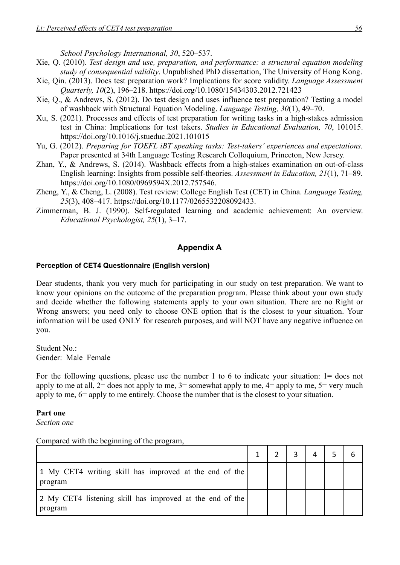*School Psychology International, 30*, 520–537.

Xie, Q. (2010). *Test design and use, preparation, and performance: a structural equation modeling study of consequential validity*. Unpublished PhD dissertation, The University of Hong Kong.

- Xie, Qin. (2013). Does test preparation work? Implications for score validity. *Language Assessment Quarterly, 10*(2), 196–218.<https://doi.org/10.1080/15434303.2012.721423>
- Xie, Q., & Andrews, S. (2012). Do test design and uses influence test preparation? Testing a model of washback with Structural Equation Modeling. *Language Testing, 30*(1), 49–70.
- Xu, S. (2021). Processes and effects of test preparation for writing tasks in a high-stakes admission test in China: Implications for test takers. *Studies in Educational Evaluation, 70*, 101015[.](https://doi.org/10.1016/j.stueduc.2021.101015) <https://doi.org/10.1016/j.stueduc.2021.101015>
- Yu, G. (2012). *Preparing for TOEFL iBT speaking tasks: Test-takers' experiences and expectations.* Paper presented at 34th Language Testing Research Colloquium, Princeton, New Jersey.
- Zhan, Y., & Andrews, S. (2014). Washback effects from a high-stakes examination on out-of-clas[s](https://doi.org/10.1080/0969594X.2012.757546) English learning: Insights from possible self-theories. *Assessment in Education, 21*(1), 71–89. [https://doi.org/10.1080/0969594X.2012.757546.](https://doi.org/10.1080/0969594X.2012.757546)
- Zheng, Y., & Cheng, L. (2008). Test review: College English Test (CET) in China. *Language Testing, 25*(3), 408–417. [https://doi.org/10.1177/0265532208092433.](https://doi.org/10.1177/0265532208092433)
- Zimmerman, B. J. (1990). Self-regulated learning and academic achievement: An overview. *Educational Psychologist, 25*(1), 3–17.

## **Appendix A**

## **Perception of CET4 Questionnaire (English version)**

Dear students, thank you very much for participating in our study on test preparation. We want to know your opinions on the outcome of the preparation program. Please think about your own study and decide whether the following statements apply to your own situation. There are no Right or Wrong answers; you need only to choose ONE option that is the closest to your situation. Your information will be used ONLY for research purposes, and will NOT have any negative influence on you.

Student No.: Gender: Male Female

For the following questions, please use the number 1 to 6 to indicate your situation: 1= does not apply to me at all,  $2=$  does not apply to me,  $3=$  somewhat apply to me,  $4=$  apply to me,  $5=$  very much apply to me, 6= apply to me entirely. Choose the number that is the closest to your situation.

#### **Part one**

*Section one*

Compared with the beginning of the program,

|                                                                     |  | 4 |  |
|---------------------------------------------------------------------|--|---|--|
| 1 My CET4 writing skill has improved at the end of the<br>program   |  |   |  |
| 2 My CET4 listening skill has improved at the end of the<br>program |  |   |  |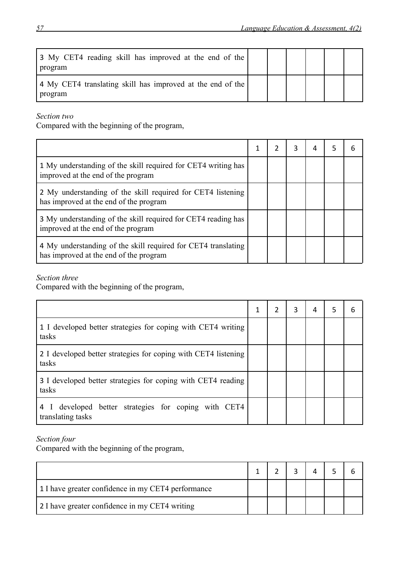| 3 My CET4 reading skill has improved at the end of the<br>program     |  |  |  |
|-----------------------------------------------------------------------|--|--|--|
| 4 My CET4 translating skill has improved at the end of the<br>program |  |  |  |

*Section two*

Compared with the beginning of the program,

|                                                                                                         |  | 3 | 4 | 5. | h |
|---------------------------------------------------------------------------------------------------------|--|---|---|----|---|
| 1 My understanding of the skill required for CET4 writing has<br>improved at the end of the program     |  |   |   |    |   |
| 2 My understanding of the skill required for CET4 listening<br>has improved at the end of the program   |  |   |   |    |   |
| 3 My understanding of the skill required for CET4 reading has<br>improved at the end of the program     |  |   |   |    |   |
| 4 My understanding of the skill required for CET4 translating<br>has improved at the end of the program |  |   |   |    |   |

## *Section three*

Compared with the beginning of the program,

|                                                                           | 1 | 3 | 4 | 5 | 6 |
|---------------------------------------------------------------------------|---|---|---|---|---|
| 1 I developed better strategies for coping with CET4 writing<br>tasks     |   |   |   |   |   |
| 2 I developed better strategies for coping with CET4 listening<br>tasks   |   |   |   |   |   |
| 3 I developed better strategies for coping with CET4 reading<br>tasks     |   |   |   |   |   |
| 4 I developed better strategies for coping with CET4<br>translating tasks |   |   |   |   |   |

## *Section four*

Compared with the beginning of the program,

| 1 I have greater confidence in my CET4 performance |  |  |  |
|----------------------------------------------------|--|--|--|
| 2 I have greater confidence in my CET4 writing     |  |  |  |